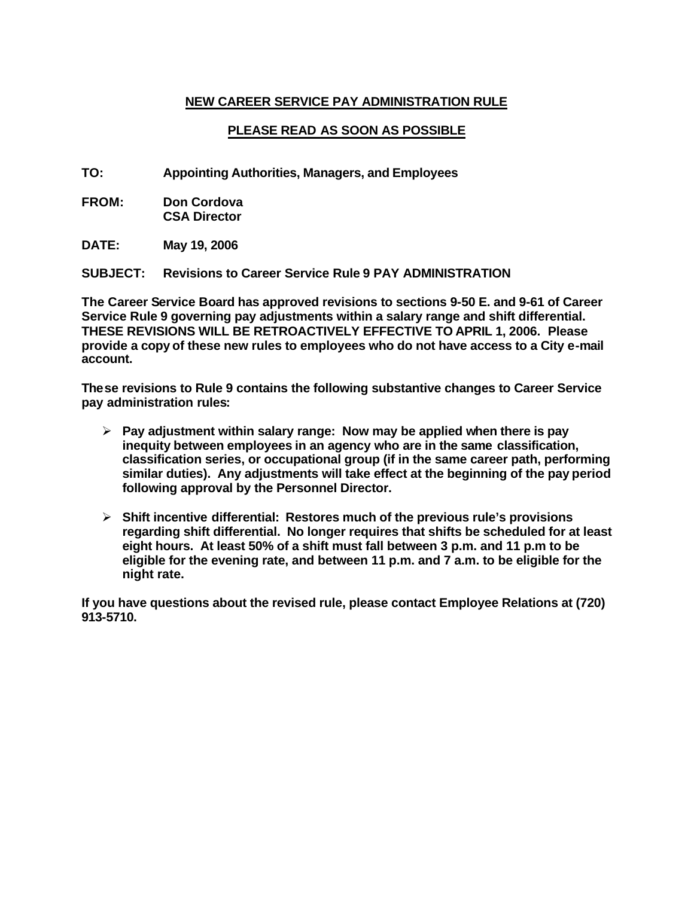## **NEW CAREER SERVICE PAY ADMINISTRATION RULE**

## **PLEASE READ AS SOON AS POSSIBLE**

**TO: Appointing Authorities, Managers, and Employees**

- **FROM: Don Cordova CSA Director**
- **DATE: May 19, 2006**

**SUBJECT: Revisions to Career Service Rule 9 PAY ADMINISTRATION**

**The Career Service Board has approved revisions to sections 9-50 E. and 9-61 of Career Service Rule 9 governing pay adjustments within a salary range and shift differential. THESE REVISIONS WILL BE RETROACTIVELY EFFECTIVE TO APRIL 1, 2006. Please provide a copy of these new rules to employees who do not have access to a City e-mail account.**

**These revisions to Rule 9 contains the following substantive changes to Career Service pay administration rules:**

- $\triangleright$  Pay adjustment within salary range: Now may be applied when there is pay **inequity between employees in an agency who are in the same classification, classification series, or occupational group (if in the same career path, performing similar duties). Any adjustments will take effect at the beginning of the pay period following approval by the Personnel Director.**
- ÿ **Shift incentive differential: Restores much of the previous rule's provisions regarding shift differential. No longer requires that shifts be scheduled for at least eight hours. At least 50% of a shift must fall between 3 p.m. and 11 p.m to be eligible for the evening rate, and between 11 p.m. and 7 a.m. to be eligible for the night rate.**

**If you have questions about the revised rule, please contact Employee Relations at (720) 913-5710.**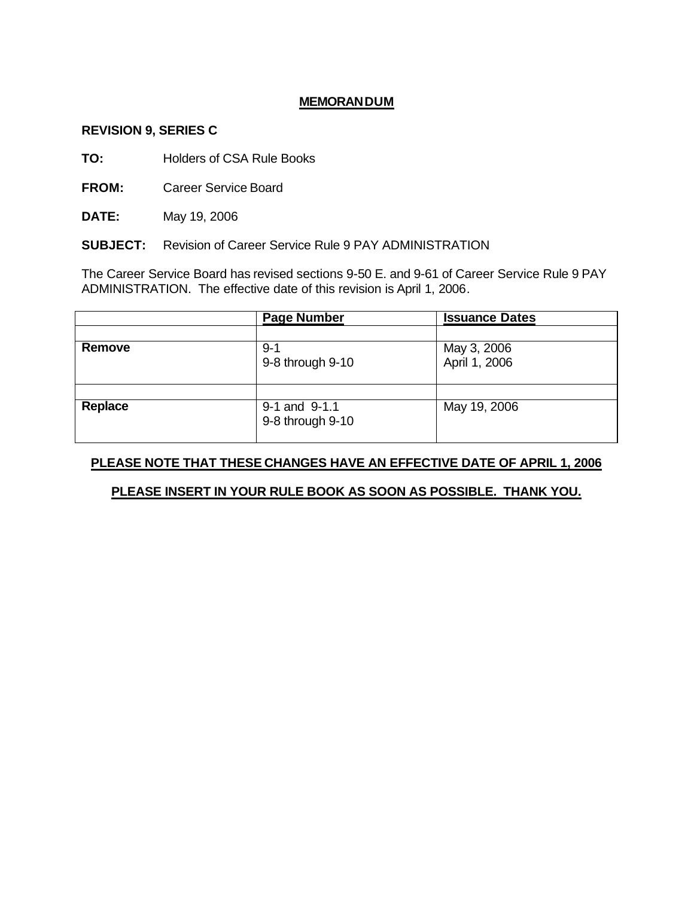### **MEMORANDUM**

#### **REVISION 9, SERIES C**

**TO:** Holders of CSA Rule Books

**FROM:** Career Service Board

**DATE:** May 19, 2006

**SUBJECT:** Revision of Career Service Rule 9 PAY ADMINISTRATION

The Career Service Board has revised sections 9-50 E. and 9-61 of Career Service Rule 9 PAY ADMINISTRATION. The effective date of this revision is April 1, 2006.

|         | <b>Page Number</b>                | <b>Issuance Dates</b>        |
|---------|-----------------------------------|------------------------------|
|         |                                   |                              |
| Remove  | $9 - 1$<br>9-8 through 9-10       | May 3, 2006<br>April 1, 2006 |
|         |                                   |                              |
| Replace | 9-1 and 9-1.1<br>9-8 through 9-10 | May 19, 2006                 |

# **PLEASE NOTE THAT THESE CHANGES HAVE AN EFFECTIVE DATE OF APRIL 1, 2006**

## **PLEASE INSERT IN YOUR RULE BOOK AS SOON AS POSSIBLE. THANK YOU.**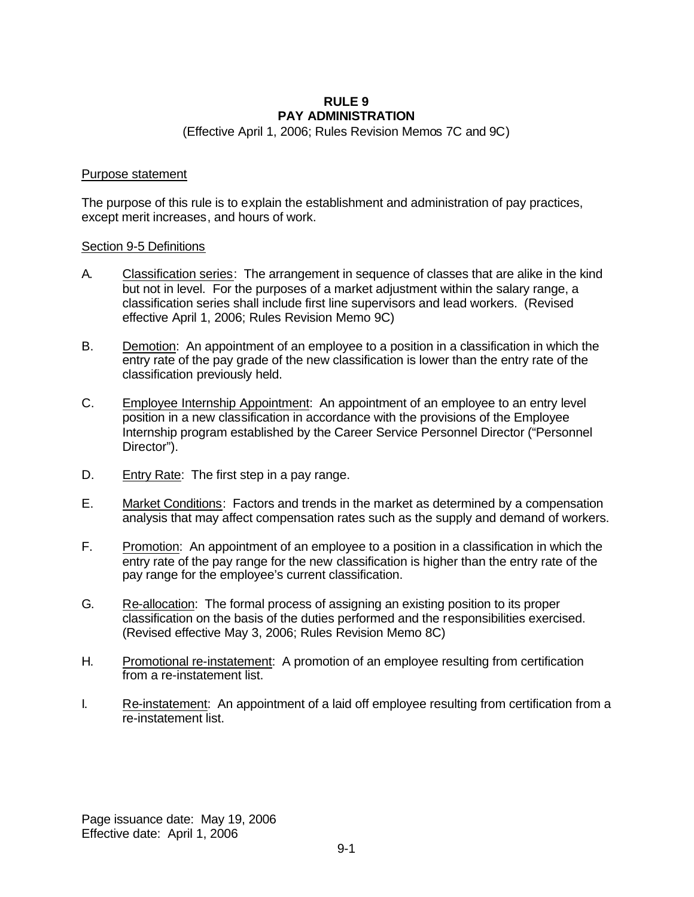# **RULE 9 PAY ADMINISTRATION**

(Effective April 1, 2006; Rules Revision Memos 7C and 9C)

#### Purpose statement

The purpose of this rule is to explain the establishment and administration of pay practices, except merit increases, and hours of work.

#### Section 9-5 Definitions

- A. Classification series: The arrangement in sequence of classes that are alike in the kind but not in level. For the purposes of a market adjustment within the salary range, a classification series shall include first line supervisors and lead workers. (Revised effective April 1, 2006; Rules Revision Memo 9C)
- B. Demotion: An appointment of an employee to a position in a classification in which the entry rate of the pay grade of the new classification is lower than the entry rate of the classification previously held.
- C. Employee Internship Appointment: An appointment of an employee to an entry level position in a new classification in accordance with the provisions of the Employee Internship program established by the Career Service Personnel Director ("Personnel Director").
- D. Entry Rate: The first step in a pay range.
- E. Market Conditions: Factors and trends in the market as determined by a compensation analysis that may affect compensation rates such as the supply and demand of workers.
- F. Promotion: An appointment of an employee to a position in a classification in which the entry rate of the pay range for the new classification is higher than the entry rate of the pay range for the employee's current classification.
- G. Re-allocation: The formal process of assigning an existing position to its proper classification on the basis of the duties performed and the responsibilities exercised. (Revised effective May 3, 2006; Rules Revision Memo 8C)
- H. Promotional re-instatement: A promotion of an employee resulting from certification from a re-instatement list.
- I. Re-instatement: An appointment of a laid off employee resulting from certification from a re-instatement list.

Page issuance date: May 19, 2006 Effective date: April 1, 2006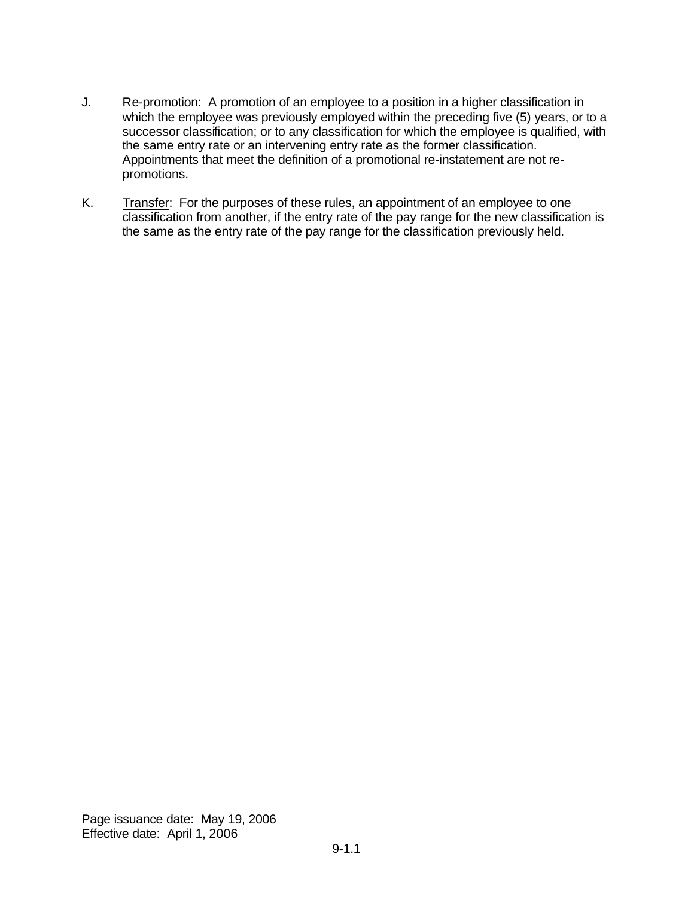- J. Re-promotion: A promotion of an employee to a position in a higher classification in which the employee was previously employed within the preceding five (5) years, or to a successor classification; or to any classification for which the employee is qualified, with the same entry rate or an intervening entry rate as the former classification. Appointments that meet the definition of a promotional re-instatement are not repromotions.
- K. Transfer: For the purposes of these rules, an appointment of an employee to one classification from another, if the entry rate of the pay range for the new classification is the same as the entry rate of the pay range for the classification previously held.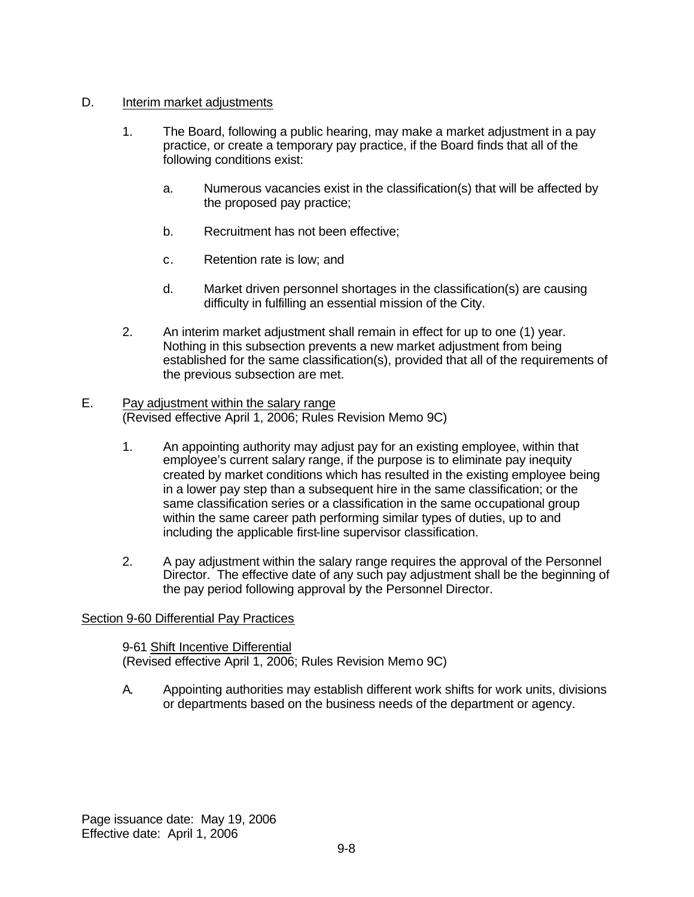### D. **Interim market adjustments**

- 1. The Board, following a public hearing, may make a market adjustment in a pay practice, or create a temporary pay practice, if the Board finds that all of the following conditions exist:
	- a. Numerous vacancies exist in the classification(s) that will be affected by the proposed pay practice;
	- b. Recruitment has not been effective;
	- c. Retention rate is low; and
	- d. Market driven personnel shortages in the classification(s) are causing difficulty in fulfilling an essential mission of the City.
- 2. An interim market adjustment shall remain in effect for up to one (1) year. Nothing in this subsection prevents a new market adjustment from being established for the same classification(s), provided that all of the requirements of the previous subsection are met.
- E. Pay adjustment within the salary range (Revised effective April 1, 2006; Rules Revision Memo 9C)
	- 1. An appointing authority may adjust pay for an existing employee, within that employee's current salary range, if the purpose is to eliminate pay inequity created by market conditions which has resulted in the existing employee being in a lower pay step than a subsequent hire in the same classification; or the same classification series or a classification in the same occupational group within the same career path performing similar types of duties, up to and including the applicable first-line supervisor classification.
	- 2. A pay adjustment within the salary range requires the approval of the Personnel Director. The effective date of any such pay adjustment shall be the beginning of the pay period following approval by the Personnel Director.

### Section 9-60 Differential Pay Practices

9-61 Shift Incentive Differential (Revised effective April 1, 2006; Rules Revision Memo 9C)

A. Appointing authorities may establish different work shifts for work units, divisions or departments based on the business needs of the department or agency.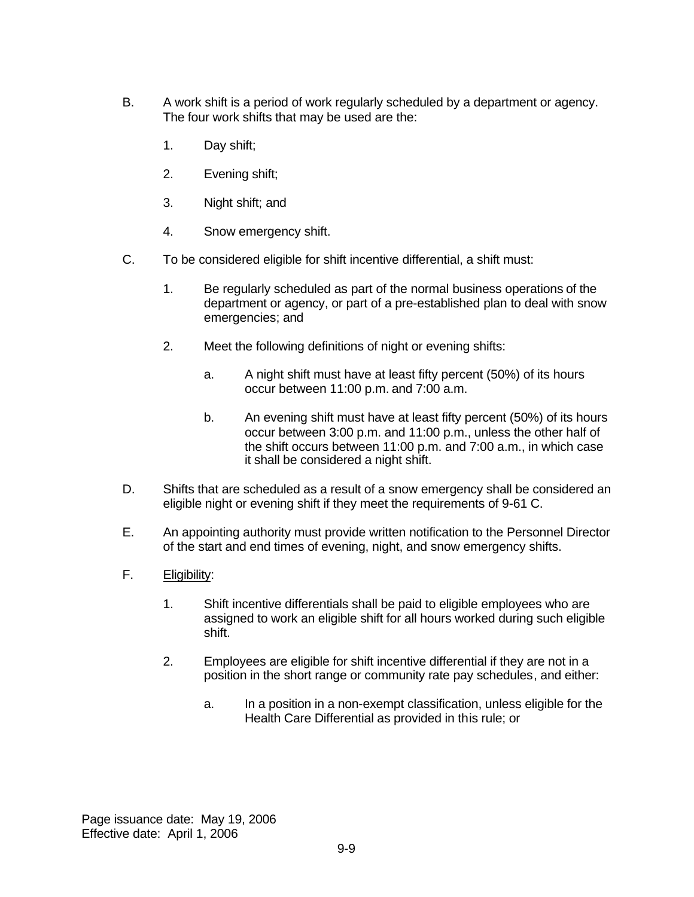- B. A work shift is a period of work regularly scheduled by a department or agency. The four work shifts that may be used are the:
	- 1. Day shift;
	- 2. Evening shift;
	- 3. Night shift; and
	- 4. Snow emergency shift.
- C. To be considered eligible for shift incentive differential, a shift must:
	- 1. Be regularly scheduled as part of the normal business operations of the department or agency, or part of a pre-established plan to deal with snow emergencies; and
	- 2. Meet the following definitions of night or evening shifts:
		- a. A night shift must have at least fifty percent (50%) of its hours occur between 11:00 p.m. and 7:00 a.m.
		- b. An evening shift must have at least fifty percent (50%) of its hours occur between 3:00 p.m. and 11:00 p.m., unless the other half of the shift occurs between 11:00 p.m. and 7:00 a.m., in which case it shall be considered a night shift.
- D. Shifts that are scheduled as a result of a snow emergency shall be considered an eligible night or evening shift if they meet the requirements of 9-61 C.
- E. An appointing authority must provide written notification to the Personnel Director of the start and end times of evening, night, and snow emergency shifts.
- F. Eligibility:
	- 1. Shift incentive differentials shall be paid to eligible employees who are assigned to work an eligible shift for all hours worked during such eligible shift.
	- 2. Employees are eligible for shift incentive differential if they are not in a position in the short range or community rate pay schedules, and either:
		- a. In a position in a non-exempt classification, unless eligible for the Health Care Differential as provided in this rule; or

Page issuance date: May 19, 2006 Effective date: April 1, 2006